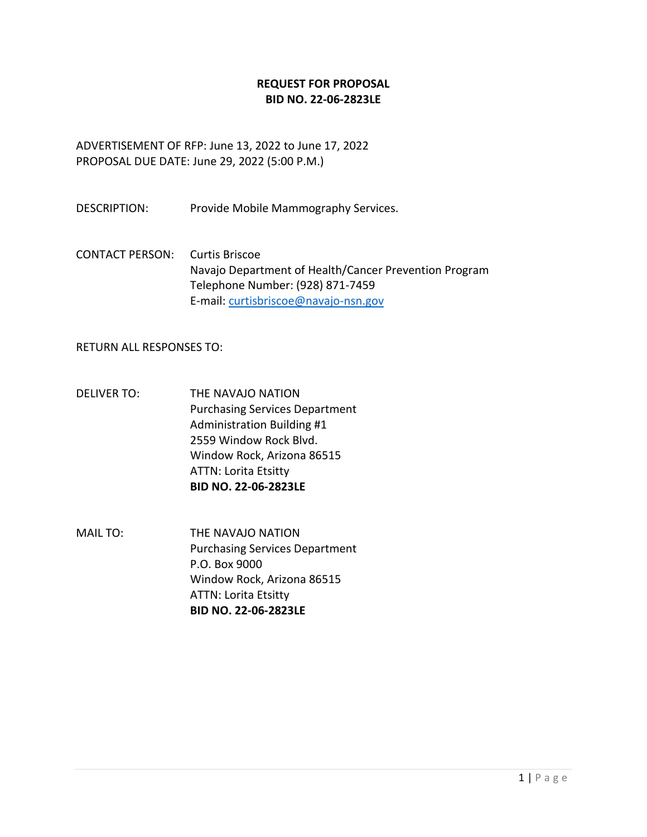### **REQUEST FOR PROPOSAL BID NO. 22-06-2823LE**

ADVERTISEMENT OF RFP: June 13, 2022 to June 17, 2022 PROPOSAL DUE DATE: June 29, 2022 (5:00 P.M.)

DESCRIPTION: Provide Mobile Mammography Services.

CONTACT PERSON: Curtis Briscoe Navajo Department of Health/Cancer Prevention Program Telephone Number: (928) 871-7459 E-mail: [curtisbriscoe@navajo-nsn.gov](mailto:curtisbriscoe@navajo-nsn.gov)

RETURN ALL RESPONSES TO:

- DELIVER TO: THE NAVAJO NATION Purchasing Services Department Administration Building #1 2559 Window Rock Blvd. Window Rock, Arizona 86515 ATTN: Lorita Etsitty **BID NO. 22-06-2823LE**
- MAIL TO: THE NAVAJO NATION Purchasing Services Department P.O. Box 9000 Window Rock, Arizona 86515 ATTN: Lorita Etsitty **BID NO. 22-06-2823LE**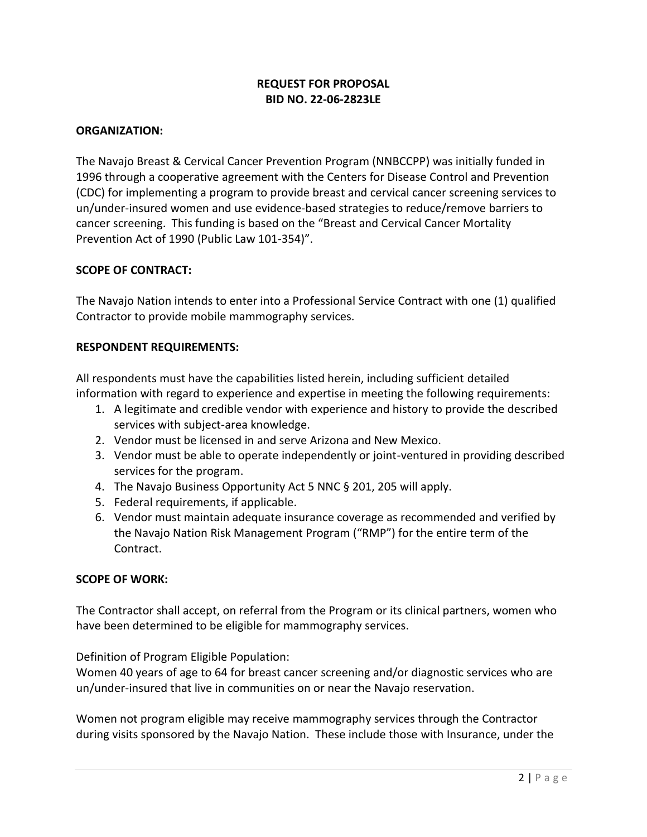# **REQUEST FOR PROPOSAL BID NO. 22-06-2823LE**

### **ORGANIZATION:**

The Navajo Breast & Cervical Cancer Prevention Program (NNBCCPP) was initially funded in 1996 through a cooperative agreement with the Centers for Disease Control and Prevention (CDC) for implementing a program to provide breast and cervical cancer screening services to un/under-insured women and use evidence-based strategies to reduce/remove barriers to cancer screening. This funding is based on the "Breast and Cervical Cancer Mortality Prevention Act of 1990 (Public Law 101-354)".

### **SCOPE OF CONTRACT:**

The Navajo Nation intends to enter into a Professional Service Contract with one (1) qualified Contractor to provide mobile mammography services.

### **RESPONDENT REQUIREMENTS:**

All respondents must have the capabilities listed herein, including sufficient detailed information with regard to experience and expertise in meeting the following requirements:

- 1. A legitimate and credible vendor with experience and history to provide the described services with subject-area knowledge.
- 2. Vendor must be licensed in and serve Arizona and New Mexico.
- 3. Vendor must be able to operate independently or joint-ventured in providing described services for the program.
- 4. The Navajo Business Opportunity Act 5 NNC § 201, 205 will apply.
- 5. Federal requirements, if applicable.
- 6. Vendor must maintain adequate insurance coverage as recommended and verified by the Navajo Nation Risk Management Program ("RMP") for the entire term of the Contract.

### **SCOPE OF WORK:**

The Contractor shall accept, on referral from the Program or its clinical partners, women who have been determined to be eligible for mammography services.

Definition of Program Eligible Population:

Women 40 years of age to 64 for breast cancer screening and/or diagnostic services who are un/under-insured that live in communities on or near the Navajo reservation.

Women not program eligible may receive mammography services through the Contractor during visits sponsored by the Navajo Nation. These include those with Insurance, under the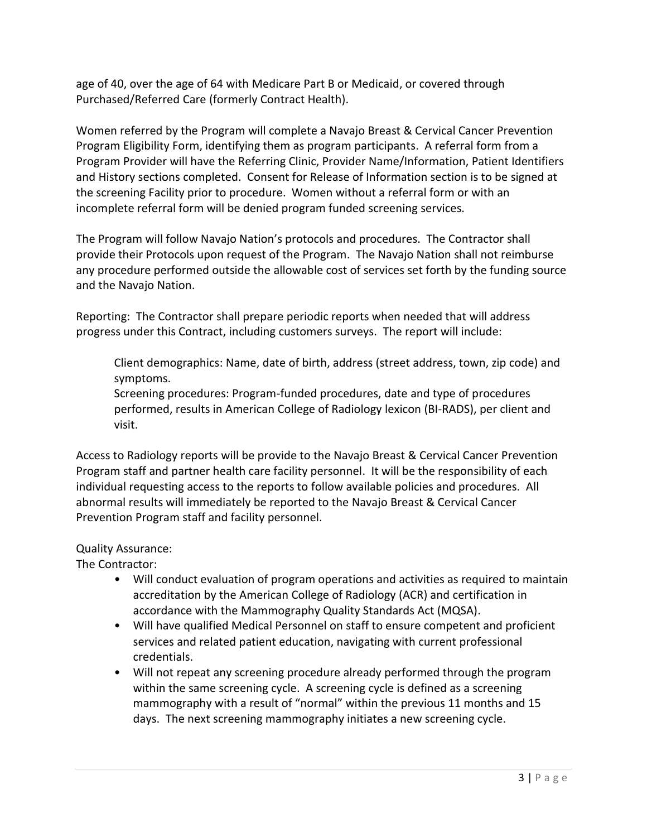age of 40, over the age of 64 with Medicare Part B or Medicaid, or covered through Purchased/Referred Care (formerly Contract Health).

Women referred by the Program will complete a Navajo Breast & Cervical Cancer Prevention Program Eligibility Form, identifying them as program participants. A referral form from a Program Provider will have the Referring Clinic, Provider Name/Information, Patient Identifiers and History sections completed. Consent for Release of Information section is to be signed at the screening Facility prior to procedure. Women without a referral form or with an incomplete referral form will be denied program funded screening services.

The Program will follow Navajo Nation's protocols and procedures. The Contractor shall provide their Protocols upon request of the Program. The Navajo Nation shall not reimburse any procedure performed outside the allowable cost of services set forth by the funding source and the Navajo Nation.

Reporting: The Contractor shall prepare periodic reports when needed that will address progress under this Contract, including customers surveys. The report will include:

Client demographics: Name, date of birth, address (street address, town, zip code) and symptoms.

Screening procedures: Program-funded procedures, date and type of procedures performed, results in American College of Radiology lexicon (BI-RADS), per client and visit.

Access to Radiology reports will be provide to the Navajo Breast & Cervical Cancer Prevention Program staff and partner health care facility personnel. It will be the responsibility of each individual requesting access to the reports to follow available policies and procedures. All abnormal results will immediately be reported to the Navajo Breast & Cervical Cancer Prevention Program staff and facility personnel.

# Quality Assurance:

The Contractor:

- Will conduct evaluation of program operations and activities as required to maintain accreditation by the American College of Radiology (ACR) and certification in accordance with the Mammography Quality Standards Act (MQSA).
- Will have qualified Medical Personnel on staff to ensure competent and proficient services and related patient education, navigating with current professional credentials.
- Will not repeat any screening procedure already performed through the program within the same screening cycle. A screening cycle is defined as a screening mammography with a result of "normal" within the previous 11 months and 15 days. The next screening mammography initiates a new screening cycle.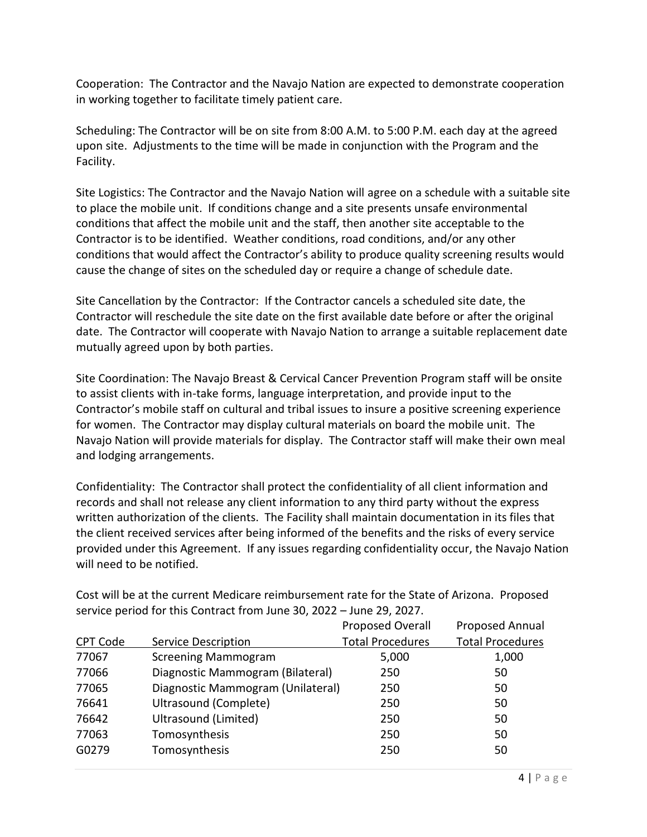Cooperation: The Contractor and the Navajo Nation are expected to demonstrate cooperation in working together to facilitate timely patient care.

Scheduling: The Contractor will be on site from 8:00 A.M. to 5:00 P.M. each day at the agreed upon site. Adjustments to the time will be made in conjunction with the Program and the Facility.

Site Logistics: The Contractor and the Navajo Nation will agree on a schedule with a suitable site to place the mobile unit. If conditions change and a site presents unsafe environmental conditions that affect the mobile unit and the staff, then another site acceptable to the Contractor is to be identified. Weather conditions, road conditions, and/or any other conditions that would affect the Contractor's ability to produce quality screening results would cause the change of sites on the scheduled day or require a change of schedule date.

Site Cancellation by the Contractor: If the Contractor cancels a scheduled site date, the Contractor will reschedule the site date on the first available date before or after the original date. The Contractor will cooperate with Navajo Nation to arrange a suitable replacement date mutually agreed upon by both parties.

Site Coordination: The Navajo Breast & Cervical Cancer Prevention Program staff will be onsite to assist clients with in-take forms, language interpretation, and provide input to the Contractor's mobile staff on cultural and tribal issues to insure a positive screening experience for women. The Contractor may display cultural materials on board the mobile unit. The Navajo Nation will provide materials for display. The Contractor staff will make their own meal and lodging arrangements.

Confidentiality: The Contractor shall protect the confidentiality of all client information and records and shall not release any client information to any third party without the express written authorization of the clients. The Facility shall maintain documentation in its files that the client received services after being informed of the benefits and the risks of every service provided under this Agreement. If any issues regarding confidentiality occur, the Navajo Nation will need to be notified.

|          |                                   | Proposed Overall        | <b>Proposed Annual</b>  |
|----------|-----------------------------------|-------------------------|-------------------------|
| CPT Code | Service Description               | <b>Total Procedures</b> | <b>Total Procedures</b> |
| 77067    | <b>Screening Mammogram</b>        | 5,000                   | 1,000                   |
| 77066    | Diagnostic Mammogram (Bilateral)  | 250                     | 50                      |
| 77065    | Diagnostic Mammogram (Unilateral) | 250                     | 50                      |
| 76641    | Ultrasound (Complete)             | 250                     | 50                      |
| 76642    | Ultrasound (Limited)              | 250                     | 50                      |
| 77063    | Tomosynthesis                     | 250                     | 50                      |
| G0279    | Tomosynthesis                     | 250                     | 50                      |

Cost will be at the current Medicare reimbursement rate for the State of Arizona. Proposed service period for this Contract from June 30, 2022 – June 29, 2027.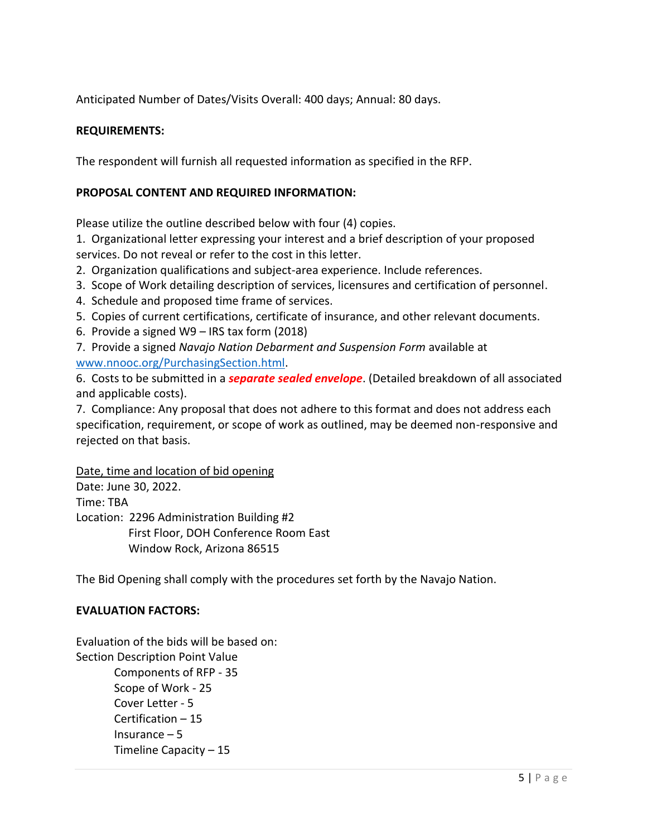Anticipated Number of Dates/Visits Overall: 400 days; Annual: 80 days.

### **REQUIREMENTS:**

The respondent will furnish all requested information as specified in the RFP.

### **PROPOSAL CONTENT AND REQUIRED INFORMATION:**

Please utilize the outline described below with four (4) copies.

1. Organizational letter expressing your interest and a brief description of your proposed services. Do not reveal or refer to the cost in this letter.

2. Organization qualifications and subject-area experience. Include references.

- 3. Scope of Work detailing description of services, licensures and certification of personnel.
- 4. Schedule and proposed time frame of services.
- 5. Copies of current certifications, certificate of insurance, and other relevant documents.
- 6. Provide a signed W9 IRS tax form (2018)

7. Provide a signed *Navajo Nation Debarment and Suspension Form* available at [www.nnooc.org/PurchasingSection.html.](http://www.nnooc.org/PurchasingSection.html)

6. Costs to be submitted in a *separate sealed envelope*. (Detailed breakdown of all associated and applicable costs).

7. Compliance: Any proposal that does not adhere to this format and does not address each specification, requirement, or scope of work as outlined, may be deemed non-responsive and rejected on that basis.

Date, time and location of bid opening

Date: June 30, 2022. Time: TBA Location: 2296 Administration Building #2 First Floor, DOH Conference Room East Window Rock, Arizona 86515

The Bid Opening shall comply with the procedures set forth by the Navajo Nation.

### **EVALUATION FACTORS:**

Evaluation of the bids will be based on: Section Description Point Value Components of RFP - 35 Scope of Work - 25 Cover Letter - 5 Certification – 15 Insurance  $-5$ Timeline Capacity – 15